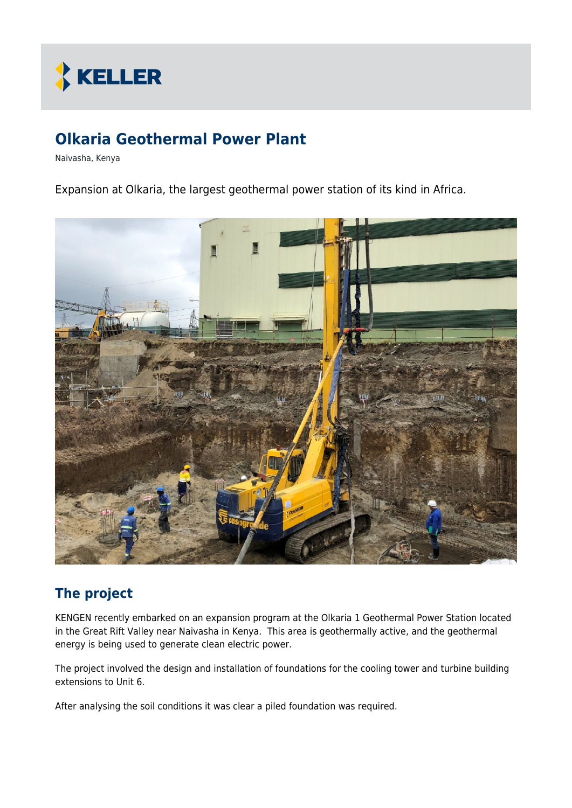

# **Olkaria Geothermal Power Plant**

Naivasha, Kenya

Expansion at Olkaria, the largest geothermal power station of its kind in Africa.



# **The project**

KENGEN recently embarked on an expansion program at the Olkaria 1 Geothermal Power Station located in the Great Rift Valley near Naivasha in Kenya. This area is geothermally active, and the geothermal energy is being used to generate clean electric power.

The project involved the design and installation of foundations for the cooling tower and turbine building extensions to Unit 6.

After analysing the soil conditions it was clear a piled foundation was required.